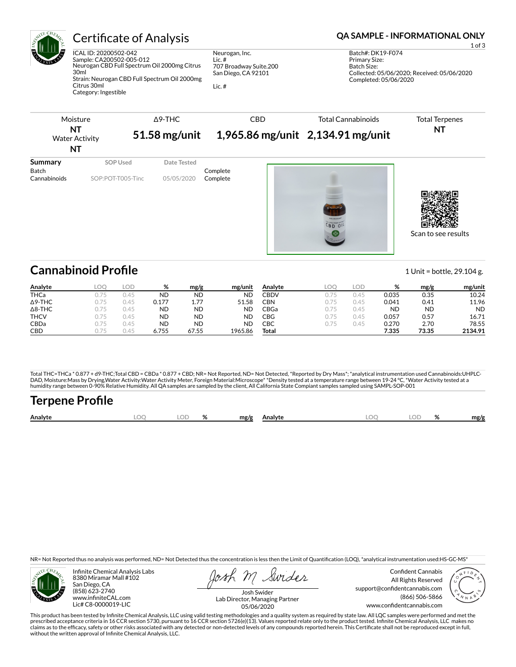

# Certificate of Analysis **Certificate of Analysis QA SAMPLE - INFORMATIONAL ONLY**

ICAL ID: 20200502-042 Sample: CA200502-005-012 Neurogan CBD Full Spectrum Oil 2000mg Citrus 30ml Strain: Neurogan CBD Full Spectrum Oil 2000mg

Citrus 30ml Category: Ingestible Neurogan, Inc. Lic. # 707 Broadway Suite.200 San Diego, CA 92101

Lic. #

Batch#: DK19-F074 Primary Size: Batch Size: Collected: 05/06/2020; Received: 05/06/2020 Completed: 05/06/2020

1 of 3



# **Cannabinoid Profile** 1 Unit = bottle, 29.104 g.

| Analyte        | LOC | LOD  | %     | mg/g      | mg/unit   | Analyte | LOO  | LOD  | %         | mg/g      | mg/unit   |
|----------------|-----|------|-------|-----------|-----------|---------|------|------|-----------|-----------|-----------|
| <b>THCa</b>    | 175 | 0.45 | ND    | <b>ND</b> | <b>ND</b> | CBDV    | 0.75 | 0.45 | 0.035     | 0.35      | 10.24     |
| $\Delta$ 9-THC | 175 | 0.45 | 0.177 | 1.77      | 51.58     | CBN     | 0.75 | 0.45 | 0.041     | 0.41      | 11.96     |
| $\Delta$ 8-THC | 175 | 0.45 | ND    | <b>ND</b> | <b>ND</b> | CBGa    | 0.75 | 0.45 | <b>ND</b> | <b>ND</b> | <b>ND</b> |
| <b>THCV</b>    | 175 | 0.45 | ND    | <b>ND</b> | <b>ND</b> | CBG     | 0.75 | 0.45 | 0.057     | 0.57      | 16.71     |
| CBDa           | 175 | 0.45 | ND    | <b>ND</b> | <b>ND</b> | СВС     | 0.75 | 0.45 | 0.270     | 2.70      | 78.55     |
| <b>CBD</b>     | 1/5 | J.45 | 6.755 | 67.55     | 1965.86   | Total   |      |      | 7.335     | 73.35     | 2134.91   |

Total THC=THCa \* 0.877 + d9-THC;Total CBD = CBDa \* 0.877 + CBD; NR= Not Reported, ND= Not Detected, \*Reported by Dry Mass\*; \*analytical instrumentation used Cannabinoids:UHPLC-DAD, Moisture:Mass by Drying,Water Activity:Water Activity Meter, Foreign Material:Microscope\* \*Density tested at a temperature range between 19-24 °C, \*Water Activity tested at a<br>humidity range between 0-90% Relative Humi

# **Terpene Pro×le**

| Analyte |  | $\mathbf{a}$ | mg/g | Analvte | ገር<br><b>There</b> | $\alpha$<br>$\sqrt{2}$ | mg/f |
|---------|--|--------------|------|---------|--------------------|------------------------|------|
|         |  |              |      |         |                    |                        |      |

NR= Not Reported thus no analysis was performed, ND= Not Detected thus the concentration is less then the Limit of Quantification (LOQ), \*analytical instrumentation used:HS-GC-MS\*



Infinite Chemical Analysis Labs 8380 Miramar Mall #102 San Diego, CA (858) 623-2740 www.infiniteCAL.com Lic# C8-0000019-LIC

Swides

Confident Cannabis All Rights Reserved support@confidentcannabis.com (866) 506-5866 www.confidentcannabis.com



Josh Swider Lab Director, Managing Partner 05/06/2020

This product has been tested by Infinite Chemical Analysis, LLC using valid testing methodologies and a quality system as required by state law. All LQC samples were performed and met the prescribed acceptance criteria in 16 CCR section 5730, pursuant to 16 CCR section 5726(e)(13). Values reported relate only to the product tested. Infinite Chemical Analysis, LLC makes no<br>claims as to the efficacy, safety o without the written approval of Infinite Chemical Analysis, LLC.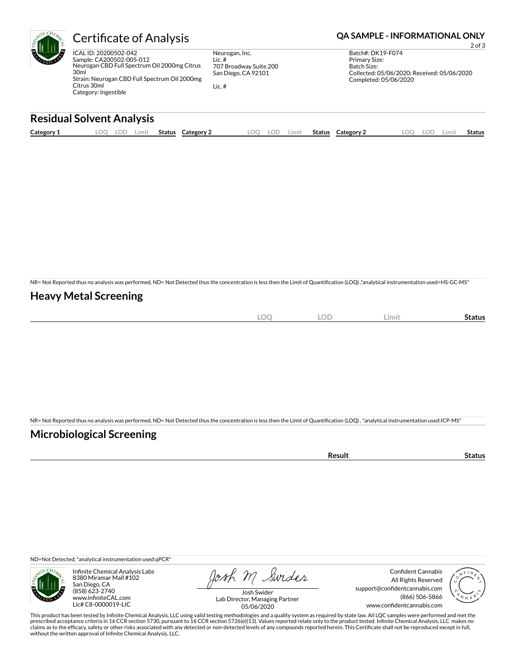

# Certificate of Analysis **Certificate of Analysis QA SAMPLE - INFORMATIONAL ONLY**

ICAL ID: 20200502-042 Sample: CA200502-005-012 Neurogan CBD Full Spectrum Oil 2000mg Citrus 30ml Strain: Neurogan CBD Full Spectrum Oil 2000mg Citrus 30ml Category: Ingestible

Neurogan, Inc. Lic. # 707 Broadway Suite.200 San Diego, CA 92101

Lic. #

2 of 3 Batch#: DK19-F074 Primary Size: Batch Size: Collected: 05/06/2020; Received: 05/06/2020 Completed: 05/06/2020

# **Residual Solvent Analysis**

| Category 1 | $\sim$<br><u>.</u> | ∸ີ | Limit | <b>Status</b> | Category 2 | LOO | LOD | Limit | Status | Category 2 | .OC | LOD. | Limit | Status |
|------------|--------------------|----|-------|---------------|------------|-----|-----|-------|--------|------------|-----|------|-------|--------|
|            |                    |    |       |               |            |     |     |       |        |            |     |      |       |        |

NR= Not Reported thus no analysis was performed, ND= Not Detected thus the concentration is less then the Limit of Quantification (LOQ),\*analytical instrumentation used=HS-GC-MS\*

### **Heavy Metal Screening**

| $\sim$<br>∼<br>$\sim$ | <b>LOD</b> | Limit | status |
|-----------------------|------------|-------|--------|
|                       |            |       |        |

NR= Not Reported thus no analysis was performed, ND= Not Detected thus the concentration is less then the Limit of Quantification (LOQ), \*analytical instrumentation used:ICP-MS\*

### **Microbiological Screening**

| . <del>.</del> |  |
|----------------|--|

ND=Not Detected; \*analytical instrumentation used:qPCR\*



Infinite Chemical Analysis Labs 8380 Miramar Mall #102 San Diego, CA (858) 623-2740 www.infiniteCAL.com Lic# C8-0000019-LIC

Josh M Swider

Confident Cannabis All Rights Reserved support@confidentcannabis.com (866) 506-5866 www.confidentcannabis.com



Josh Swider Lab Director, Managing Partner 05/06/2020

This product has been tested by Infinite Chemical Analysis, LLC using valid testing methodologies and a quality system as required by state law. All LQC samples were performed and met the prescribed acceptance criteria in 16 CCR section 5730, pursuant to 16 CCR section 5726(e)(13). Values reported relate only to the product tested. Infinite Chemical Analysis, LLC makes no<br>claims as to the efficacy, safety o without the written approval of Infinite Chemical Analysis, LLC.